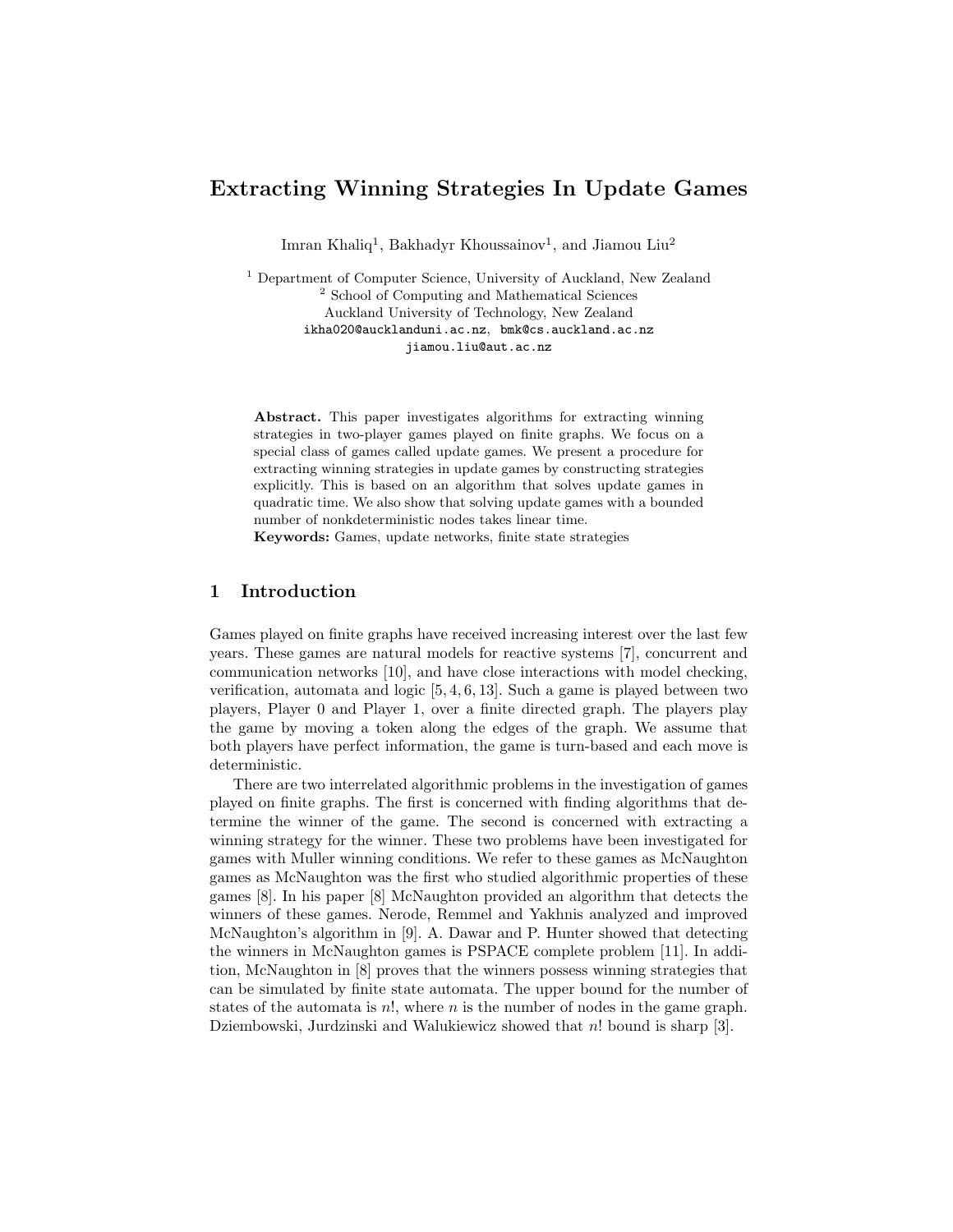# Extracting Winning Strategies In Update Games

Imran Khaliq<sup>1</sup>, Bakhadyr Khoussainov<sup>1</sup>, and Jiamou Liu<sup>2</sup>

 $^{\rm 1}$  Department of Computer Science, University of Auckland, New Zealand <sup>2</sup> School of Computing and Mathematical Sciences Auckland University of Technology, New Zealand ikha020@aucklanduni.ac.nz, bmk@cs.auckland.ac.nz jiamou.liu@aut.ac.nz

Abstract. This paper investigates algorithms for extracting winning strategies in two-player games played on finite graphs. We focus on a special class of games called update games. We present a procedure for extracting winning strategies in update games by constructing strategies explicitly. This is based on an algorithm that solves update games in quadratic time. We also show that solving update games with a bounded number of nonkdeterministic nodes takes linear time.

Keywords: Games, update networks, finite state strategies

## 1 Introduction

Games played on finite graphs have received increasing interest over the last few years. These games are natural models for reactive systems [7], concurrent and communication networks [10], and have close interactions with model checking, verification, automata and logic [5, 4, 6, 13]. Such a game is played between two players, Player 0 and Player 1, over a finite directed graph. The players play the game by moving a token along the edges of the graph. We assume that both players have perfect information, the game is turn-based and each move is deterministic.

There are two interrelated algorithmic problems in the investigation of games played on finite graphs. The first is concerned with finding algorithms that determine the winner of the game. The second is concerned with extracting a winning strategy for the winner. These two problems have been investigated for games with Muller winning conditions. We refer to these games as McNaughton games as McNaughton was the first who studied algorithmic properties of these games [8]. In his paper [8] McNaughton provided an algorithm that detects the winners of these games. Nerode, Remmel and Yakhnis analyzed and improved McNaughton's algorithm in [9]. A. Dawar and P. Hunter showed that detecting the winners in McNaughton games is PSPACE complete problem [11]. In addition, McNaughton in [8] proves that the winners possess winning strategies that can be simulated by finite state automata. The upper bound for the number of states of the automata is  $n!$ , where  $n$  is the number of nodes in the game graph. Dziembowski, Jurdzinski and Walukiewicz showed that n! bound is sharp [3].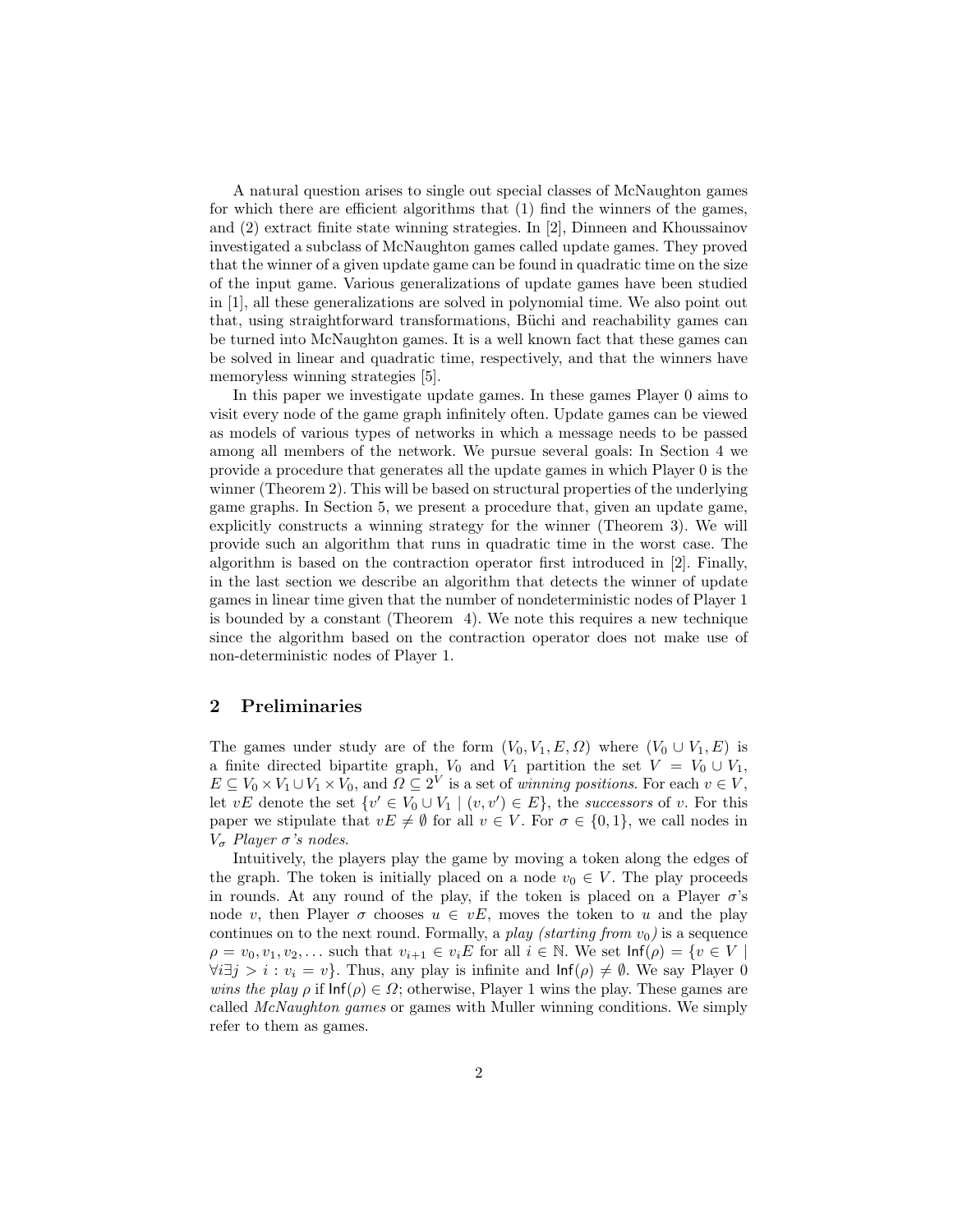A natural question arises to single out special classes of McNaughton games for which there are efficient algorithms that (1) find the winners of the games, and (2) extract finite state winning strategies. In [2], Dinneen and Khoussainov investigated a subclass of McNaughton games called update games. They proved that the winner of a given update game can be found in quadratic time on the size of the input game. Various generalizations of update games have been studied in [1], all these generalizations are solved in polynomial time. We also point out that, using straightforward transformations, Büchi and reachability games can be turned into McNaughton games. It is a well known fact that these games can be solved in linear and quadratic time, respectively, and that the winners have memoryless winning strategies [5].

In this paper we investigate update games. In these games Player 0 aims to visit every node of the game graph infinitely often. Update games can be viewed as models of various types of networks in which a message needs to be passed among all members of the network. We pursue several goals: In Section 4 we provide a procedure that generates all the update games in which Player 0 is the winner (Theorem 2). This will be based on structural properties of the underlying game graphs. In Section 5, we present a procedure that, given an update game, explicitly constructs a winning strategy for the winner (Theorem 3). We will provide such an algorithm that runs in quadratic time in the worst case. The algorithm is based on the contraction operator first introduced in [2]. Finally, in the last section we describe an algorithm that detects the winner of update games in linear time given that the number of nondeterministic nodes of Player 1 is bounded by a constant (Theorem 4). We note this requires a new technique since the algorithm based on the contraction operator does not make use of non-deterministic nodes of Player 1.

#### 2 Preliminaries

The games under study are of the form  $(V_0, V_1, E, \Omega)$  where  $(V_0 \cup V_1, E)$  is a finite directed bipartite graph,  $V_0$  and  $V_1$  partition the set  $V = V_0 \cup V_1$ ,  $E \subseteq V_0 \times V_1 \cup V_1 \times V_0$ , and  $\Omega \subseteq 2^V$  is a set of winning positions. For each  $v \in V$ , let  $vE$  denote the set  $\{v' \in V_0 \cup V_1 \mid (v, v') \in E\}$ , the successors of v. For this paper we stipulate that  $vE \neq \emptyset$  for all  $v \in V$ . For  $\sigma \in \{0,1\}$ , we call nodes in  $V<sub>σ</sub>$  Player  $\sigma$ 's nodes.

Intuitively, the players play the game by moving a token along the edges of the graph. The token is initially placed on a node  $v_0 \in V$ . The play proceeds in rounds. At any round of the play, if the token is placed on a Player  $\sigma$ 's node v, then Player  $\sigma$  chooses  $u \in vE$ , moves the token to u and the play continues on to the next round. Formally, a play (starting from  $v_0$ ) is a sequence  $\rho = v_0, v_1, v_2, \ldots$  such that  $v_{i+1} \in v_i E$  for all  $i \in \mathbb{N}$ . We set  $\mathsf{Inf}(\rho) = \{v \in V \mid$  $\forall i \exists j > i : v_i = v$ . Thus, any play is infinite and  $\text{Inf}(\rho) \neq \emptyset$ . We say Player 0 wins the play  $\rho$  if  $\text{Inf}(\rho) \in \Omega$ ; otherwise, Player 1 wins the play. These games are called McNaughton games or games with Muller winning conditions. We simply refer to them as games.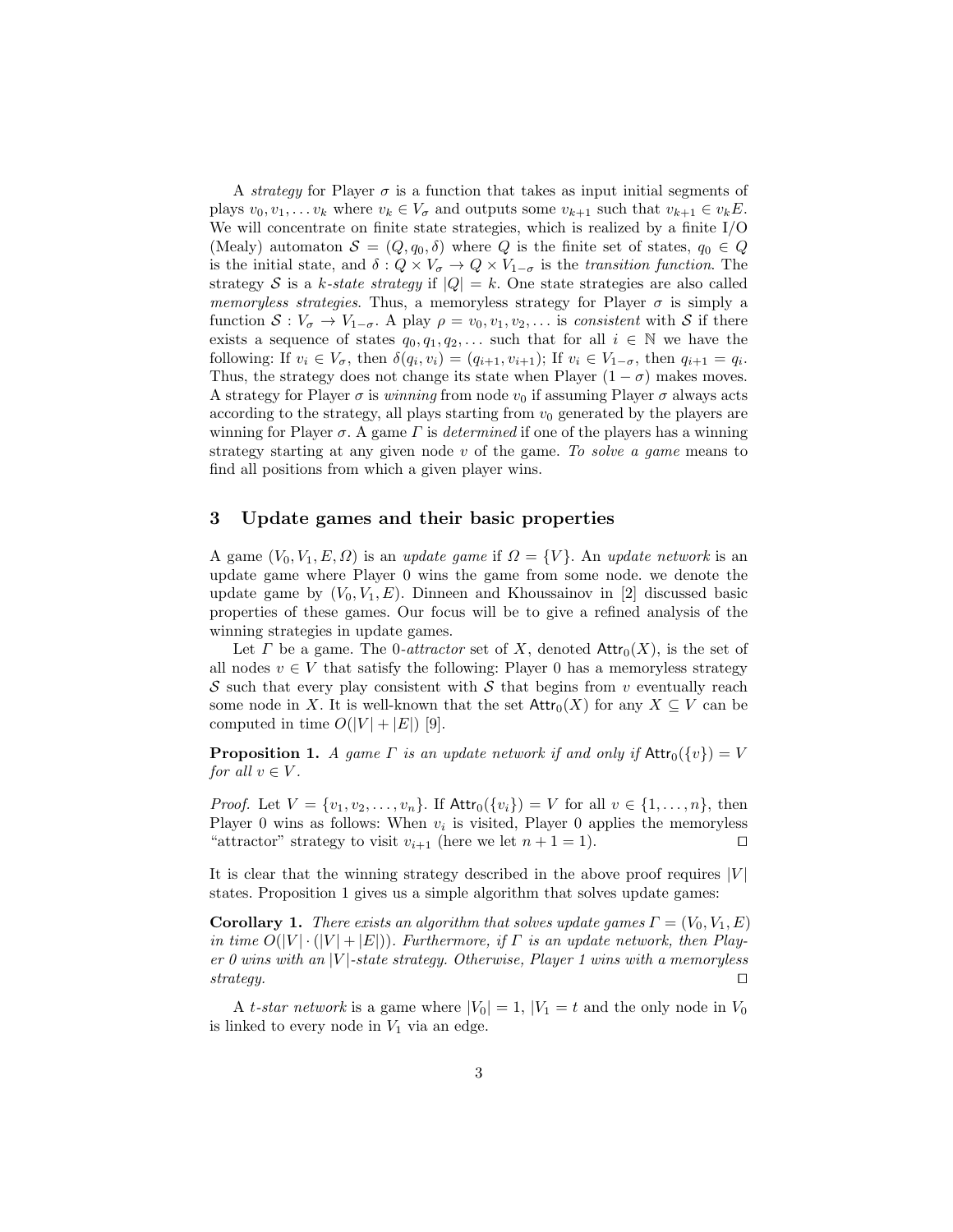A strategy for Player  $\sigma$  is a function that takes as input initial segments of plays  $v_0, v_1, \ldots v_k$  where  $v_k \in V_\sigma$  and outputs some  $v_{k+1}$  such that  $v_{k+1} \in v_k E$ . We will concentrate on finite state strategies, which is realized by a finite I/O (Mealy) automaton  $S = (Q, q_0, \delta)$  where Q is the finite set of states,  $q_0 \in Q$ is the initial state, and  $\delta: Q \times V_{\sigma} \to Q \times V_{1-\sigma}$  is the transition function. The strategy S is a k-state strategy if  $|Q| = k$ . One state strategies are also called memoryless strategies. Thus, a memoryless strategy for Player  $\sigma$  is simply a function  $S: V_{\sigma} \to V_{1-\sigma}$ . A play  $\rho = v_0, v_1, v_2, \ldots$  is consistent with S if there exists a sequence of states  $q_0, q_1, q_2, \ldots$  such that for all  $i \in \mathbb{N}$  we have the following: If  $v_i \in V_\sigma$ , then  $\delta(q_i, v_i) = (q_{i+1}, v_{i+1})$ ; If  $v_i \in V_{1-\sigma}$ , then  $q_{i+1} = q_i$ . Thus, the strategy does not change its state when Player  $(1 - \sigma)$  makes moves. A strategy for Player  $\sigma$  is winning from node  $v_0$  if assuming Player  $\sigma$  always acts according to the strategy, all plays starting from  $v_0$  generated by the players are winning for Player  $\sigma$ . A game  $\Gamma$  is *determined* if one of the players has a winning strategy starting at any given node  $v$  of the game. To solve a game means to find all positions from which a given player wins.

## 3 Update games and their basic properties

A game  $(V_0, V_1, E, \Omega)$  is an update game if  $\Omega = \{V\}$ . An update network is an update game where Player 0 wins the game from some node. we denote the update game by  $(V_0, V_1, E)$ . Dinneen and Khoussainov in [2] discussed basic properties of these games. Our focus will be to give a refined analysis of the winning strategies in update games.

Let  $\Gamma$  be a game. The 0-*attractor* set of  $X$ , denoted  $\text{Attr}_0(X)$ , is the set of all nodes  $v \in V$  that satisfy the following: Player 0 has a memoryless strategy S such that every play consistent with S that begins from v eventually reach some node in X. It is well-known that the set  $\text{Attr}_0(X)$  for any  $X \subseteq V$  can be computed in time  $O(|V| + |E|)$  [9].

**Proposition 1.** A game  $\Gamma$  is an update network if and only if  $\text{Attr}_0({v}) = V$ for all  $v \in V$ .

*Proof.* Let  $V = \{v_1, v_2, \ldots, v_n\}$ . If  $\text{Attr}_0(\{v_i\}) = V$  for all  $v \in \{1, \ldots, n\}$ , then Player 0 wins as follows: When  $v_i$  is visited, Player 0 applies the memoryless "attractor" strategy to visit  $v_{i+1}$  (here we let  $n+1=1$ ).

It is clear that the winning strategy described in the above proof requires  $|V|$ states. Proposition 1 gives us a simple algorithm that solves update games:

**Corollary 1.** There exists an algorithm that solves update games  $\Gamma = (V_0, V_1, E)$ in time  $O(|V| \cdot (|V| + |E|))$ . Furthermore, if  $\Gamma$  is an update network, then Player 0 wins with an |V|-state strategy. Otherwise, Player 1 wins with a memoryless strategy.  $\square$ 

A t-star network is a game where  $|V_0| = 1$ ,  $|V_1| = t$  and the only node in  $V_0$ is linked to every node in  $V_1$  via an edge.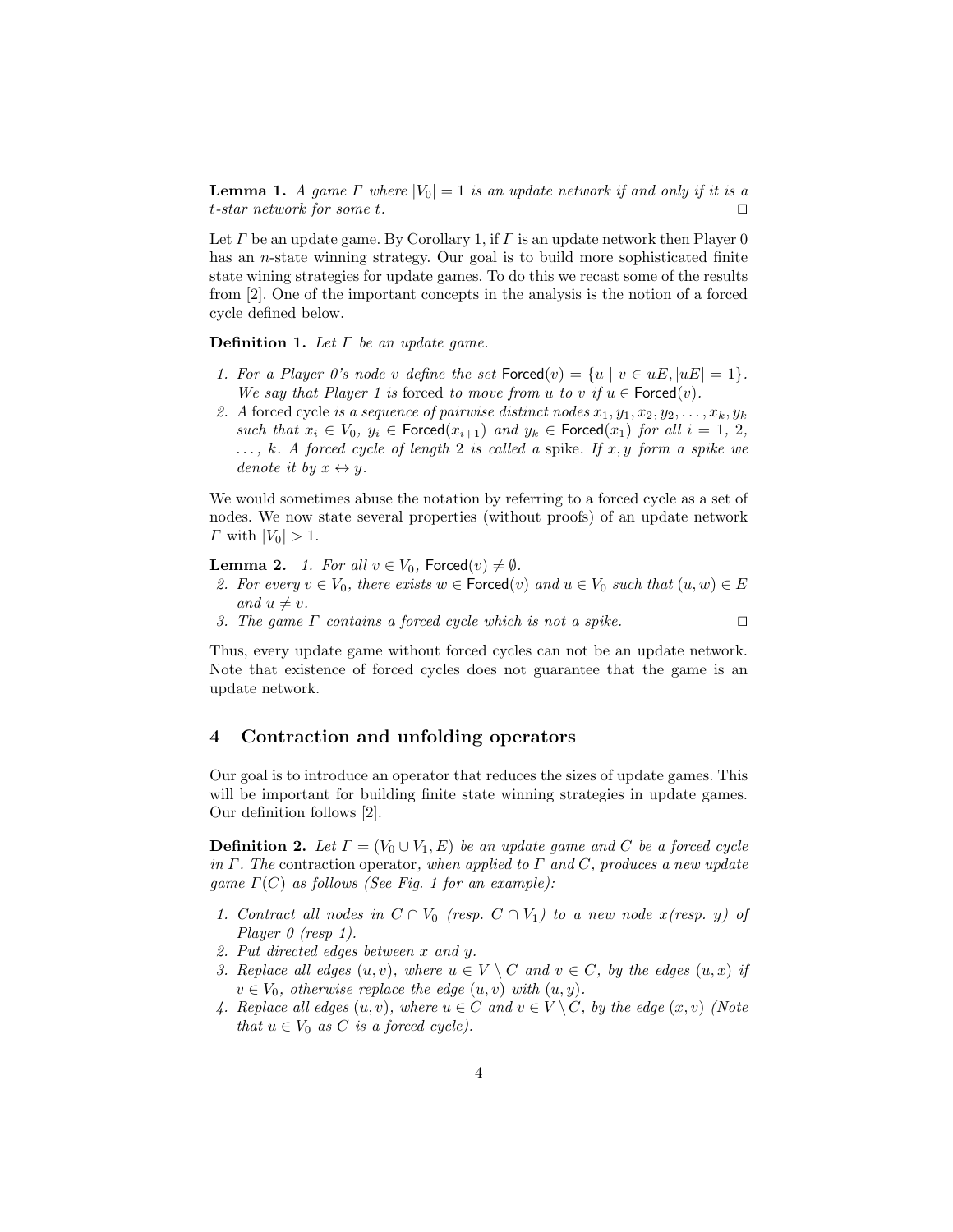**Lemma 1.** A game  $\Gamma$  where  $|V_0| = 1$  is an update network if and only if it is a t-star network for some t.  $\square$ 

Let  $\Gamma$  be an update game. By Corollary 1, if  $\Gamma$  is an update network then Player 0 has an *n*-state winning strategy. Our goal is to build more sophisticated finite state wining strategies for update games. To do this we recast some of the results from [2]. One of the important concepts in the analysis is the notion of a forced cycle defined below.

**Definition 1.** Let  $\Gamma$  be an update game.

- 1. For a Player 0's node v define the set  $\text{Forced}(v) = \{u \mid v \in uE, |uE| = 1\}.$ We say that Player 1 is forced to move from u to v if  $u \in$  Forced $(v)$ .
- 2. A forced cycle is a sequence of pairwise distinct nodes  $x_1, y_1, x_2, y_2, \ldots, x_k, y_k$ such that  $x_i \in V_0$ ,  $y_i \in \text{Forced}(x_{i+1})$  and  $y_k \in \text{Forced}(x_1)$  for all  $i = 1, 2$ ,  $\ldots, k.$  A forced cycle of length 2 is called a spike. If x, y form a spike we denote it by  $x \leftrightarrow y$ .

We would sometimes abuse the notation by referring to a forced cycle as a set of nodes. We now state several properties (without proofs) of an update network  $\Gamma$  with  $|V_0| > 1$ .

**Lemma 2.** 1. For all  $v \in V_0$ , Forced $(v) \neq \emptyset$ .

- 2. For every  $v \in V_0$ , there exists  $w \in \text{Forced}(v)$  and  $u \in V_0$  such that  $(u, w) \in E$ and  $u \neq v$ .
- 3. The game  $\Gamma$  contains a forced cycle which is not a spike.  $\Box$

Thus, every update game without forced cycles can not be an update network. Note that existence of forced cycles does not guarantee that the game is an update network.

#### 4 Contraction and unfolding operators

Our goal is to introduce an operator that reduces the sizes of update games. This will be important for building finite state winning strategies in update games. Our definition follows [2].

**Definition 2.** Let  $\Gamma = (V_0 \cup V_1, E)$  be an update game and C be a forced cycle in  $\Gamma$ . The contraction operator, when applied to  $\Gamma$  and  $C$ , produces a new update qame  $\Gamma(C)$  as follows (See Fig. 1 for an example):

- 1. Contract all nodes in  $C \cap V_0$  (resp.  $C \cap V_1$ ) to a new node  $x$ (resp. y) of Player 0 (resp 1).
- 2. Put directed edges between x and y.
- 3. Replace all edges  $(u, v)$ , where  $u \in V \setminus C$  and  $v \in C$ , by the edges  $(u, x)$  if  $v \in V_0$ , otherwise replace the edge  $(u, v)$  with  $(u, y)$ .
- 4. Replace all edges  $(u, v)$ , where  $u \in C$  and  $v \in V \backslash C$ , by the edge  $(x, v)$  (Note that  $u \in V_0$  as C is a forced cycle).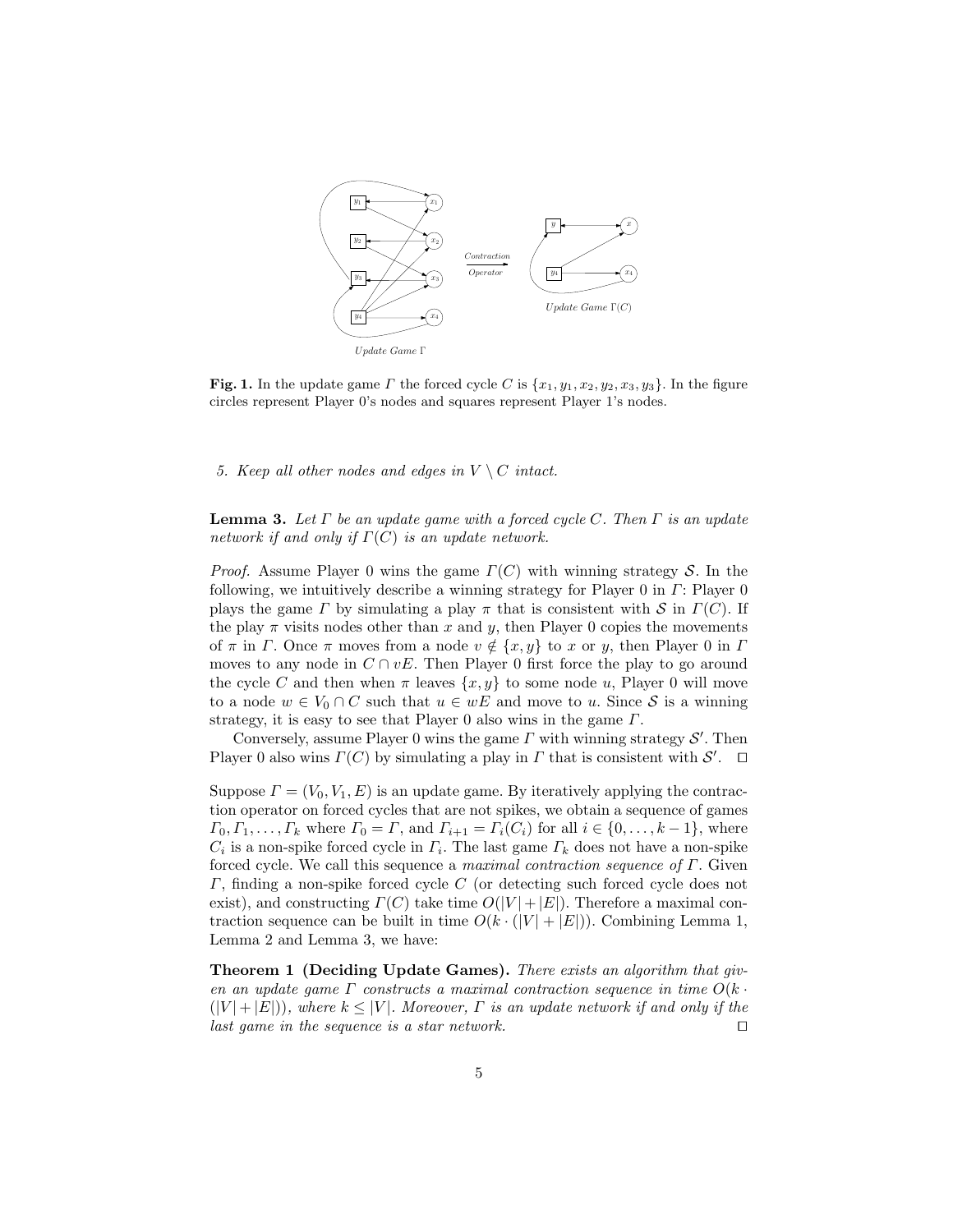

Fig. 1. In the update game  $\Gamma$  the forced cycle C is  $\{x_1, y_1, x_2, y_2, x_3, y_3\}$ . In the figure circles represent Player 0's nodes and squares represent Player 1's nodes.

5. Keep all other nodes and edges in  $V \setminus C$  intact.

**Lemma 3.** Let  $\Gamma$  be an update game with a forced cycle C. Then  $\Gamma$  is an update network if and only if  $\Gamma(C)$  is an update network.

*Proof.* Assume Player 0 wins the game  $\Gamma(C)$  with winning strategy S. In the following, we intuitively describe a winning strategy for Player 0 in  $\Gamma$ : Player 0 plays the game Γ by simulating a play π that is consistent with S in  $\Gamma(C)$ . If the play  $\pi$  visits nodes other than x and y, then Player 0 copies the movements of  $\pi$  in  $\Gamma$ . Once  $\pi$  moves from a node  $v \notin \{x, y\}$  to x or y, then Player 0 in  $\Gamma$ moves to any node in  $C \cap vE$ . Then Player 0 first force the play to go around the cycle C and then when  $\pi$  leaves  $\{x, y\}$  to some node u, Player 0 will move to a node  $w \in V_0 \cap C$  such that  $u \in wE$  and move to u. Since S is a winning strategy, it is easy to see that Player 0 also wins in the game  $\Gamma$ .

Conversely, assume Player 0 wins the game  $\Gamma$  with winning strategy  $\mathcal{S}'$ . Then Player 0 also wins  $\Gamma(C)$  by simulating a play in  $\Gamma$  that is consistent with  $\mathcal{S}'$ .  $\Box$ 

Suppose  $\Gamma = (V_0, V_1, E)$  is an update game. By iteratively applying the contraction operator on forced cycles that are not spikes, we obtain a sequence of games  $\Gamma_0, \Gamma_1, \ldots, \Gamma_k$  where  $\Gamma_0 = \Gamma$ , and  $\Gamma_{i+1} = \Gamma_i(C_i)$  for all  $i \in \{0, \ldots, k-1\}$ , where  $C_i$  is a non-spike forced cycle in  $\Gamma_i$ . The last game  $\Gamma_k$  does not have a non-spike forced cycle. We call this sequence a maximal contraction sequence of  $\Gamma$ . Given Γ, finding a non-spike forced cycle C (or detecting such forced cycle does not exist), and constructing  $\Gamma(C)$  take time  $O(|V|+|E|)$ . Therefore a maximal contraction sequence can be built in time  $O(k \cdot (|V| + |E|))$ . Combining Lemma 1, Lemma 2 and Lemma 3, we have:

Theorem 1 (Deciding Update Games). There exists an algorithm that given an update game Γ constructs a maximal contraction sequence in time  $O(k \cdot$  $(|V| + |E|)$ , where  $k \leq |V|$ . Moreover,  $\Gamma$  is an update network if and only if the last game in the sequence is a star network.  $\Box$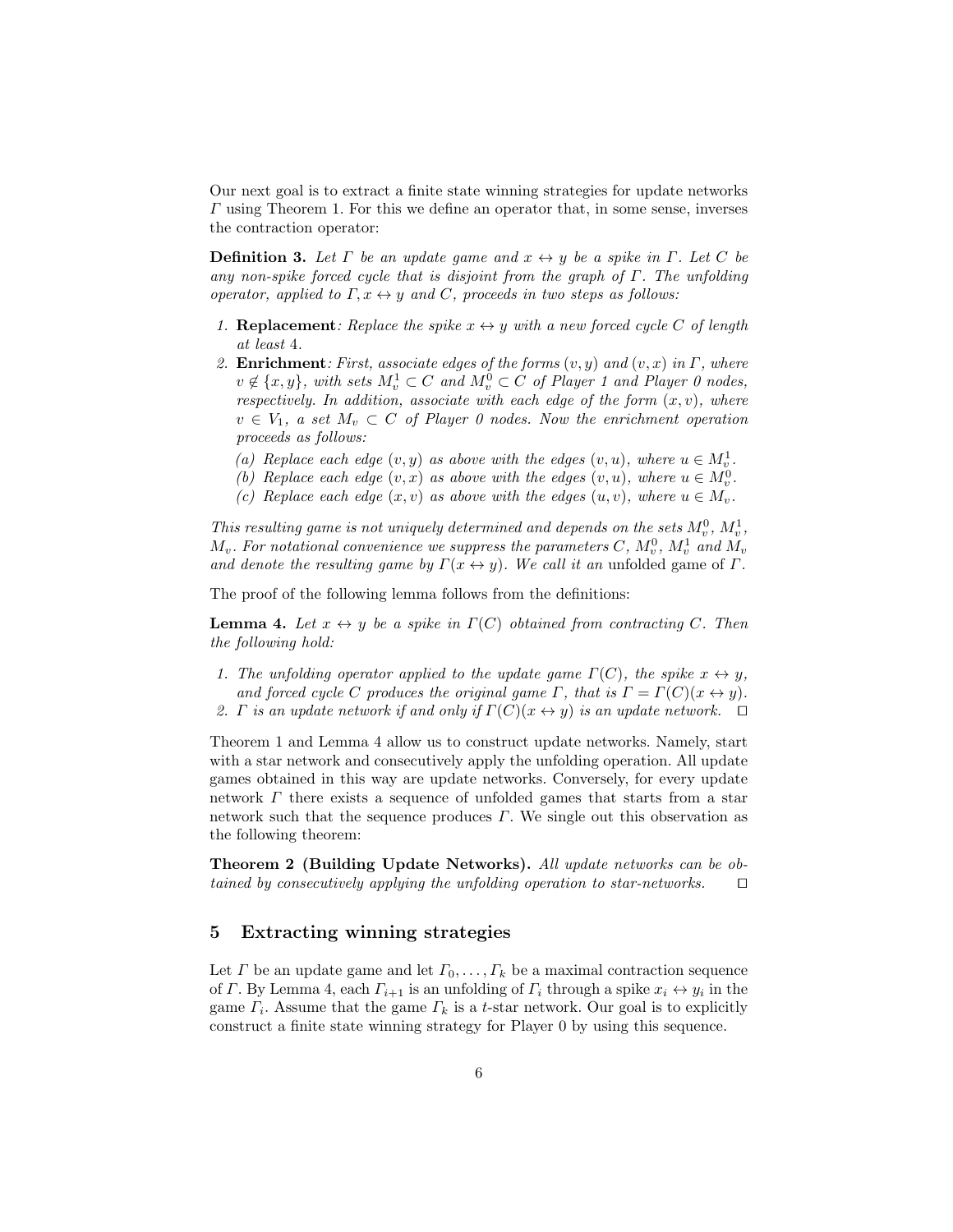Our next goal is to extract a finite state winning strategies for update networks Γ using Theorem 1. For this we define an operator that, in some sense, inverses the contraction operator:

**Definition 3.** Let  $\Gamma$  be an update game and  $x \leftrightarrow y$  be a spike in  $\Gamma$ . Let  $C$  be any non-spike forced cycle that is disjoint from the graph of  $\Gamma$ . The unfolding operator, applied to  $\Gamma, x \leftrightarrow y$  and C, proceeds in two steps as follows:

- 1. **Replacement**: Replace the spike  $x \leftrightarrow y$  with a new forced cycle C of length at least 4.
- 2. **Enrichment**: First, associate edges of the forms  $(v, y)$  and  $(v, x)$  in  $\Gamma$ , where  $v \notin \{x, y\}$ , with sets  $M_v^1 \subset C$  and  $M_v^0 \subset C$  of Player 1 and Player 0 nodes, respectively. In addition, associate with each edge of the form  $(x, v)$ , where  $v \in V_1$ , a set  $M_v \subset C$  of Player 0 nodes. Now the enrichment operation proceeds as follows:
	- (a) Replace each edge  $(v, y)$  as above with the edges  $(v, u)$ , where  $u \in M_v^1$ .
	- (b) Replace each edge  $(v, x)$  as above with the edges  $(v, u)$ , where  $u \in M_v^0$ .
	- (c) Replace each edge  $(x, v)$  as above with the edges  $(u, v)$ , where  $u \in M_v$ .

This resulting game is not uniquely determined and depends on the sets  $M_v^0$ ,  $M_v^1$ ,  $M_v.$  For notational convenience we suppress the parameters C,  $M_v^0, M_v^1$  and  $M_v$ and denote the resulting game by  $\Gamma(x \leftrightarrow y)$ . We call it an unfolded game of  $\Gamma$ .

The proof of the following lemma follows from the definitions:

**Lemma 4.** Let  $x \leftrightarrow y$  be a spike in  $\Gamma(C)$  obtained from contracting C. Then the following hold:

- 1. The unfolding operator applied to the update game  $\Gamma(C)$ , the spike  $x \leftrightarrow y$ , and forced cycle C produces the original game  $\Gamma$ , that is  $\Gamma = \Gamma(C)(x \leftrightarrow y)$ .
- 2. Γ is an update network if and only if  $\Gamma(C)(x \leftrightarrow y)$  is an update network.  $\Box$

Theorem 1 and Lemma 4 allow us to construct update networks. Namely, start with a star network and consecutively apply the unfolding operation. All update games obtained in this way are update networks. Conversely, for every update network Γ there exists a sequence of unfolded games that starts from a star network such that the sequence produces  $\Gamma$ . We single out this observation as the following theorem:

Theorem 2 (Building Update Networks). All update networks can be obtained by consecutively applying the unfolding operation to star-networks.  $\square$ 

#### 5 Extracting winning strategies

Let  $\Gamma$  be an update game and let  $\Gamma_0, \ldots, \Gamma_k$  be a maximal contraction sequence of  $\Gamma$ . By Lemma 4, each  $\Gamma_{i+1}$  is an unfolding of  $\Gamma_i$  through a spike  $x_i \leftrightarrow y_i$  in the game  $\Gamma_i$ . Assume that the game  $\Gamma_k$  is a t-star network. Our goal is to explicitly construct a finite state winning strategy for Player 0 by using this sequence.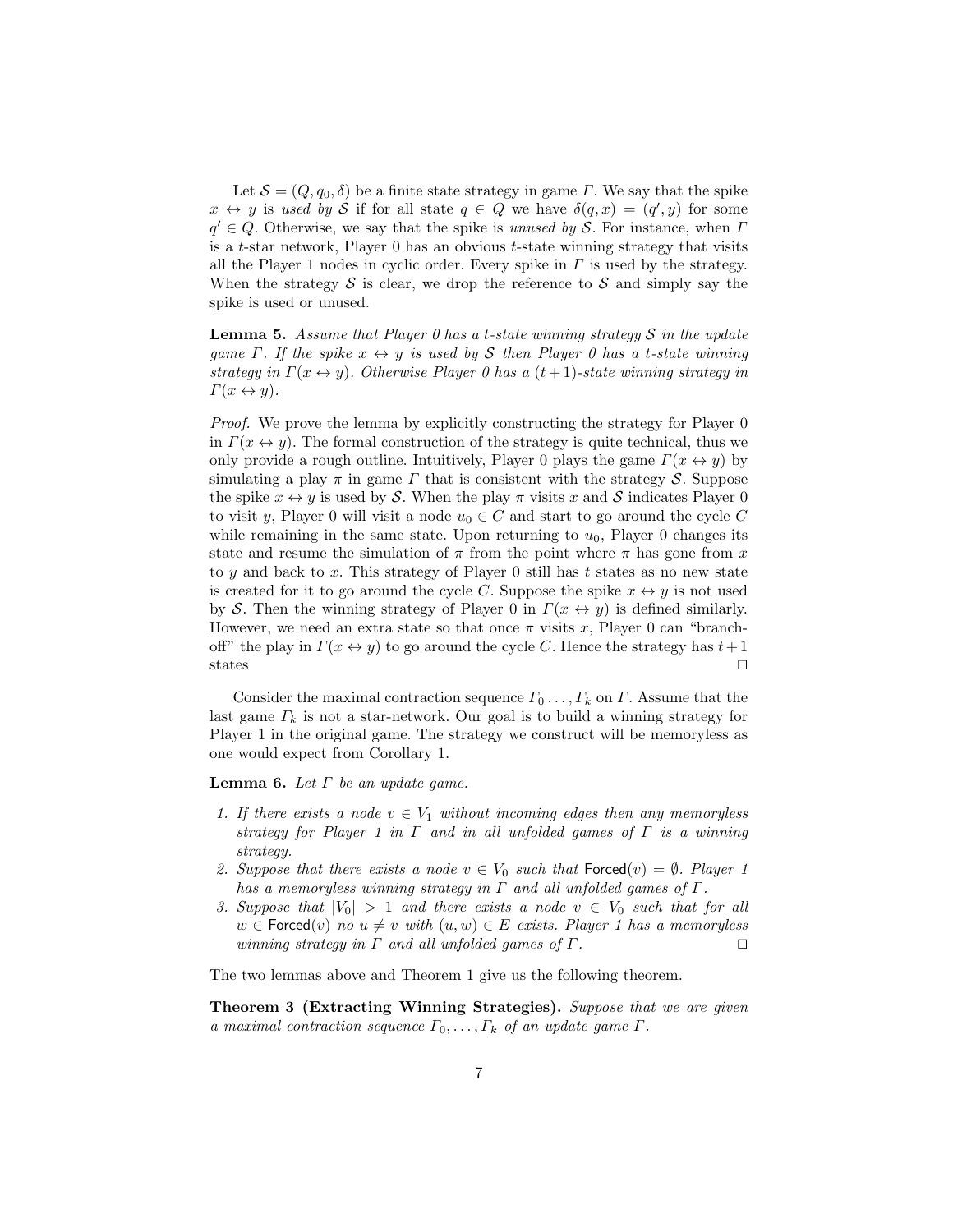Let  $S = (Q, q_0, \delta)$  be a finite state strategy in game Γ. We say that the spike  $x \leftrightarrow y$  is used by S if for all state  $q \in Q$  we have  $\delta(q, x) = (q', y)$  for some  $q' \in Q$ . Otherwise, we say that the spike is unused by S. For instance, when I is a  $t$ -star network, Player  $0$  has an obvious  $t$ -state winning strategy that visits all the Player 1 nodes in cyclic order. Every spike in  $\Gamma$  is used by the strategy. When the strategy  $S$  is clear, we drop the reference to  $S$  and simply say the spike is used or unused.

**Lemma 5.** Assume that Player 0 has a t-state winning strategy S in the update game  $\Gamma$ . If the spike  $x \leftrightarrow y$  is used by S then Player 0 has a t-state winning strategy in  $\Gamma(x \leftrightarrow y)$ . Otherwise Player 0 has a  $(t + 1)$ -state winning strategy in  $\Gamma(x \leftrightarrow y)$ .

Proof. We prove the lemma by explicitly constructing the strategy for Player 0 in  $\Gamma(x \leftrightarrow y)$ . The formal construction of the strategy is quite technical, thus we only provide a rough outline. Intuitively, Player 0 plays the game  $\Gamma(x \leftrightarrow y)$  by simulating a play  $\pi$  in game  $\Gamma$  that is consistent with the strategy  $\mathcal{S}$ . Suppose the spike  $x \leftrightarrow y$  is used by S. When the play  $\pi$  visits x and S indicates Player 0 to visit y, Player 0 will visit a node  $u_0 \in C$  and start to go around the cycle C while remaining in the same state. Upon returning to  $u_0$ , Player 0 changes its state and resume the simulation of  $\pi$  from the point where  $\pi$  has gone from x to  $y$  and back to  $x$ . This strategy of Player 0 still has  $t$  states as no new state is created for it to go around the cycle C. Suppose the spike  $x \leftrightarrow y$  is not used by S. Then the winning strategy of Player 0 in  $\Gamma(x \leftrightarrow y)$  is defined similarly. However, we need an extra state so that once  $\pi$  visits x, Player 0 can "branchoff" the play in  $\Gamma(x \leftrightarrow y)$  to go around the cycle C. Hence the strategy has  $t+1$ states  $\square$ 

Consider the maximal contraction sequence  $\Gamma_0 \ldots, \Gamma_k$  on  $\Gamma$ . Assume that the last game  $\Gamma_k$  is not a star-network. Our goal is to build a winning strategy for Player 1 in the original game. The strategy we construct will be memoryless as one would expect from Corollary 1.

**Lemma 6.** Let  $\Gamma$  be an update game.

- 1. If there exists a node  $v \in V_1$  without incoming edges then any memoryless strategy for Player 1 in  $\Gamma$  and in all unfolded games of  $\Gamma$  is a winning strategy.
- 2. Suppose that there exists a node  $v \in V_0$  such that  $\text{Forced}(v) = \emptyset$ . Player 1 has a memoryless winning strategy in  $\Gamma$  and all unfolded games of  $\Gamma$ .
- 3. Suppose that  $|V_0| > 1$  and there exists a node  $v \in V_0$  such that for all  $w \in$  Forced $(v)$  no  $u \neq v$  with  $(u, w) \in E$  exists. Player 1 has a memoryless winning strategy in  $\Gamma$  and all unfolded games of  $\Gamma$ .

The two lemmas above and Theorem 1 give us the following theorem.

Theorem 3 (Extracting Winning Strategies). Suppose that we are given a maximal contraction sequence  $\Gamma_0, \ldots, \Gamma_k$  of an update game  $\Gamma$ .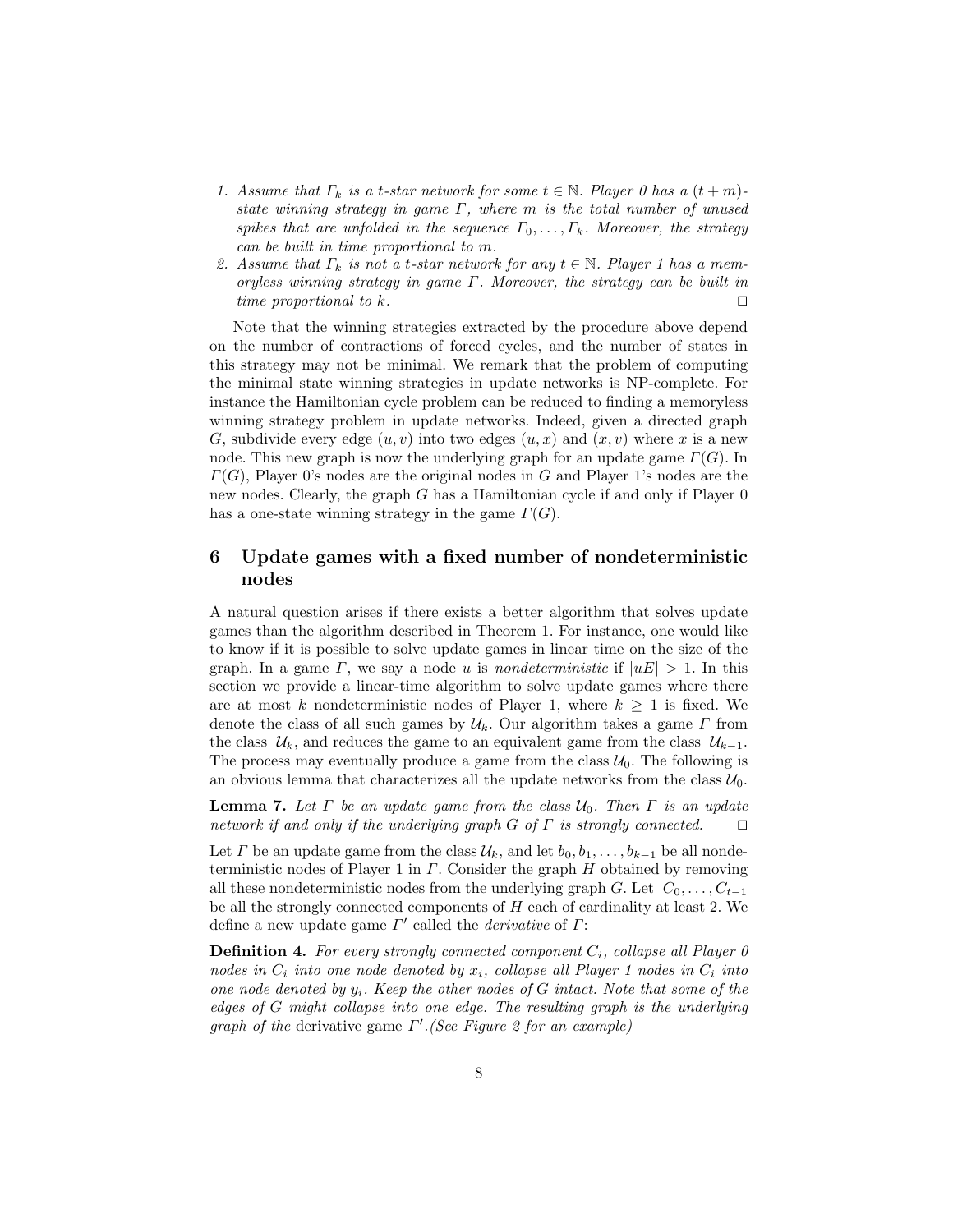- 1. Assume that  $\Gamma_k$  is a t-star network for some  $t \in \mathbb{N}$ . Player 0 has a  $(t+m)$ state winning strategy in game  $\Gamma$ , where m is the total number of unused spikes that are unfolded in the sequence  $\Gamma_0, \ldots, \Gamma_k$ . Moreover, the strategy can be built in time proportional to m.
- 2. Assume that  $\Gamma_k$  is not a t-star network for any  $t \in \mathbb{N}$ . Player 1 has a memoryless winning strategy in game Γ. Moreover, the strategy can be built in time proportional to  $k$ .

Note that the winning strategies extracted by the procedure above depend on the number of contractions of forced cycles, and the number of states in this strategy may not be minimal. We remark that the problem of computing the minimal state winning strategies in update networks is NP-complete. For instance the Hamiltonian cycle problem can be reduced to finding a memoryless winning strategy problem in update networks. Indeed, given a directed graph G, subdivide every edge  $(u, v)$  into two edges  $(u, x)$  and  $(x, v)$  where x is a new node. This new graph is now the underlying graph for an update game  $\Gamma(G)$ . In  $\Gamma(G)$ , Player 0's nodes are the original nodes in G and Player 1's nodes are the new nodes. Clearly, the graph  $G$  has a Hamiltonian cycle if and only if Player  $0$ has a one-state winning strategy in the game  $\Gamma(G)$ .

# 6 Update games with a fixed number of nondeterministic nodes

A natural question arises if there exists a better algorithm that solves update games than the algorithm described in Theorem 1. For instance, one would like to know if it is possible to solve update games in linear time on the size of the graph. In a game  $\Gamma$ , we say a node u is *nondeterministic* if  $|uE| > 1$ . In this section we provide a linear-time algorithm to solve update games where there are at most k nondeterministic nodes of Player 1, where  $k \geq 1$  is fixed. We denote the class of all such games by  $\mathcal{U}_k$ . Our algorithm takes a game  $\Gamma$  from the class  $U_k$ , and reduces the game to an equivalent game from the class  $U_{k-1}$ . The process may eventually produce a game from the class  $\mathcal{U}_0$ . The following is an obvious lemma that characterizes all the update networks from the class  $\mathcal{U}_0$ .

**Lemma 7.** Let  $\Gamma$  be an update game from the class  $\mathcal{U}_0$ . Then  $\Gamma$  is an update network if and only if the underlying graph G of  $\Gamma$  is strongly connected.  $\square$ 

Let  $\Gamma$  be an update game from the class  $\mathcal{U}_k$ , and let  $b_0, b_1, \ldots, b_{k-1}$  be all nondeterministic nodes of Player 1 in  $\Gamma$ . Consider the graph  $H$  obtained by removing all these nondeterministic nodes from the underlying graph G. Let  $C_0, \ldots, C_{t-1}$ be all the strongly connected components of H each of cardinality at least 2. We define a new update game  $\Gamma'$  called the *derivative* of  $\Gamma$ :

**Definition 4.** For every strongly connected component  $C_i$ , collapse all Player 0 nodes in  $C_i$  into one node denoted by  $x_i$ , collapse all Player 1 nodes in  $C_i$  into one node denoted by  $y_i$ . Keep the other nodes of G intact. Note that some of the edges of G might collapse into one edge. The resulting graph is the underlying graph of the derivative game  $\Gamma'$ . (See Figure 2 for an example)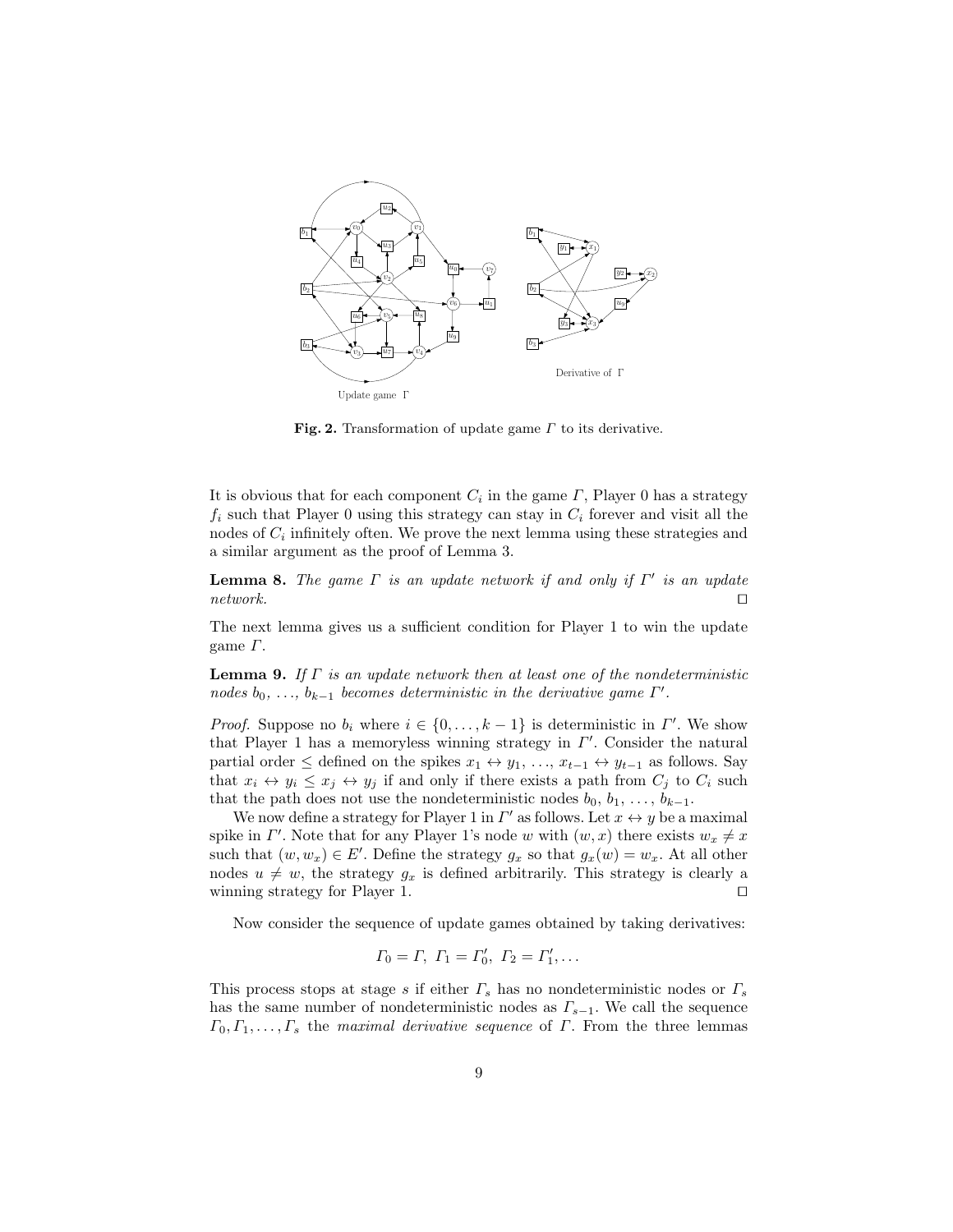

Fig. 2. Transformation of update game  $\Gamma$  to its derivative.

It is obvious that for each component  $C_i$  in the game  $\Gamma$ , Player 0 has a strategy  $f_i$  such that Player 0 using this strategy can stay in  $C_i$  forever and visit all the nodes of  $C_i$  infinitely often. We prove the next lemma using these strategies and a similar argument as the proof of Lemma 3.

**Lemma 8.** The game  $\Gamma$  is an update network if and only if  $\Gamma'$  is an update  $network.$ 

The next lemma gives us a sufficient condition for Player 1 to win the update game  $\Gamma$ .

**Lemma 9.** If  $\Gamma$  is an update network then at least one of the nondeterministic nodes  $b_0, \ldots, b_{k-1}$  becomes deterministic in the derivative game  $\Gamma'$ .

*Proof.* Suppose no  $b_i$  where  $i \in \{0, \ldots, k-1\}$  is deterministic in  $\Gamma'$ . We show that Player 1 has a memoryless winning strategy in  $\Gamma'$ . Consider the natural partial order  $\leq$  defined on the spikes  $x_1 \leftrightarrow y_1, \ldots, x_{t-1} \leftrightarrow y_{t-1}$  as follows. Say that  $x_i \leftrightarrow y_i \leq x_j \leftrightarrow y_j$  if and only if there exists a path from  $C_j$  to  $C_i$  such that the path does not use the nondeterministic nodes  $b_0, b_1, \ldots, b_{k-1}$ .

We now define a strategy for Player 1 in  $\Gamma'$  as follows. Let  $x \leftrightarrow y$  be a maximal spike in  $\Gamma'$ . Note that for any Player 1's node w with  $(w, x)$  there exists  $w_x \neq x$ such that  $(w, w_x) \in E'$ . Define the strategy  $g_x$  so that  $g_x(w) = w_x$ . At all other nodes  $u \neq w$ , the strategy  $g_x$  is defined arbitrarily. This strategy is clearly a winning strategy for Player 1.  $\Box$ 

Now consider the sequence of update games obtained by taking derivatives:

$$
\Gamma_0 = \Gamma, \ \Gamma_1 = \Gamma'_0, \ \Gamma_2 = \Gamma'_1, \dots
$$

This process stops at stage s if either  $\Gamma_s$  has no nondeterministic nodes or  $\Gamma_s$ has the same number of nondeterministic nodes as  $\Gamma_{s-1}$ . We call the sequence  $\Gamma_0, \Gamma_1, \ldots, \Gamma_s$  the maximal derivative sequence of  $\Gamma$ . From the three lemmas